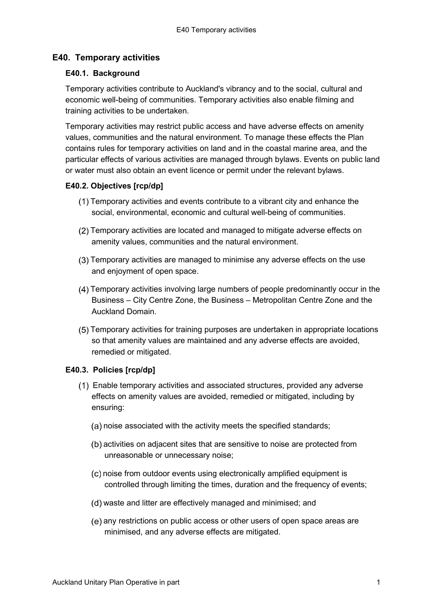# **E40. Temporary activities**

### **E40.1. Background**

Temporary activities contribute to Auckland's vibrancy and to the social, cultural and economic well-being of communities. Temporary activities also enable filming and training activities to be undertaken.

Temporary activities may restrict public access and have adverse effects on amenity values, communities and the natural environment. To manage these effects the Plan contains rules for temporary activities on land and in the coastal marine area, and the particular effects of various activities are managed through bylaws. Events on public land or water must also obtain an event licence or permit under the relevant bylaws.

### **E40.2. Objectives [rcp/dp]**

- Temporary activities and events contribute to a vibrant city and enhance the social, environmental, economic and cultural well-being of communities.
- Temporary activities are located and managed to mitigate adverse effects on amenity values, communities and the natural environment.
- Temporary activities are managed to minimise any adverse effects on the use and enjoyment of open space.
- Temporary activities involving large numbers of people predominantly occur in the Business – City Centre Zone, the Business – Metropolitan Centre Zone and the Auckland Domain.
- Temporary activities for training purposes are undertaken in appropriate locations so that amenity values are maintained and any adverse effects are avoided, remedied or mitigated.

## **E40.3. Policies [rcp/dp]**

- Enable temporary activities and associated structures, provided any adverse effects on amenity values are avoided, remedied or mitigated, including by ensuring:
	- (a) noise associated with the activity meets the specified standards;
	- (b) activities on adjacent sites that are sensitive to noise are protected from unreasonable or unnecessary noise;
	- (c) noise from outdoor events using electronically amplified equipment is controlled through limiting the times, duration and the frequency of events;
	- waste and litter are effectively managed and minimised; and
	- (e) any restrictions on public access or other users of open space areas are minimised, and any adverse effects are mitigated.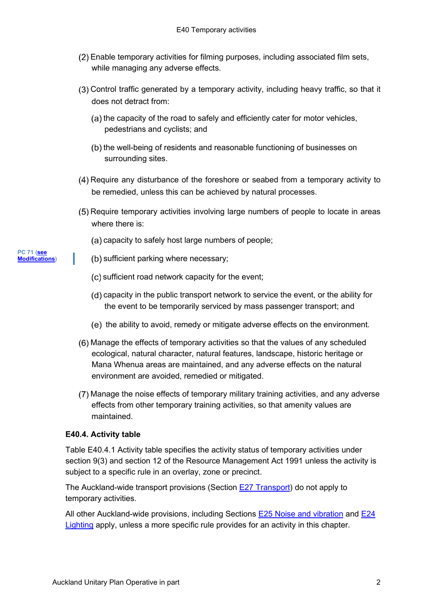- Enable temporary activities for filming purposes, including associated film sets, while managing any adverse effects.
- Control traffic generated by a temporary activity, including heavy traffic, so that it does not detract from:
	- $(a)$  the capacity of the road to safely and efficiently cater for motor vehicles, pedestrians and cyclists; and
	- (b) the well-being of residents and reasonable functioning of businesses on surrounding sites.
- Require any disturbance of the foreshore or seabed from a temporary activity to be remedied, unless this can be achieved by natural processes.
- Require temporary activities involving large numbers of people to locate in areas where there is:
	- (a) capacity to safely host large numbers of people;
- (b) sufficient parking where necessary;
	- (c) sufficient road network capacity for the event;
	- (d) capacity in the public transport network to service the event, or the ability for the event to be temporarily serviced by mass passenger transport; and
	- (e) the ability to avoid, remedy or mitigate adverse effects on the environment.
- Manage the effects of temporary activities so that the values of any scheduled ecological, natural character, natural features, landscape, historic heritage or Mana Whenua areas are maintained, and any adverse effects on the natural environment are avoided, remedied or mitigated.
- Manage the noise effects of temporary military training activities, and any adverse effects from other temporary training activities, so that amenity values are maintained.

### **E40.4. Activity table**

Table E40.4.1 Activity table specifies the activity status of temporary activities under section 9(3) and section 12 of the Resource Management Act 1991 unless the activity is subject to a specific rule in an overlay, zone or precinct.

The Auckland-wide transport provisions (Section E27 [Transport\)](http://unitaryplan.aucklandcouncil.govt.nz/Images/Auckland%20Unitary%20Plan%20Operative/Chapter%20E%20Auckland-wide/4.%20Infrastructure/E27%20Transport.pdf) do not apply to temporary activities.

All other Auckland-wide provisions, including Sections [E25 Noise and vibration](http://unitaryplan.aucklandcouncil.govt.nz/Images/Auckland%20Unitary%20Plan%20Operative/Chapter%20E%20Auckland-wide/3.%20Built%20environment/E25%20Noise%20and%20vibration.pdf) and [E24](http://unitaryplan.aucklandcouncil.govt.nz/Images/Auckland%20Unitary%20Plan%20Operative/Chapter%20E%20Auckland-wide/3.%20Built%20environment/E24%20Lighting.pdf) [Lighting](http://unitaryplan.aucklandcouncil.govt.nz/Images/Auckland%20Unitary%20Plan%20Operative/Chapter%20E%20Auckland-wide/3.%20Built%20environment/E24%20Lighting.pdf) apply, unless a more specific rule provides for an activity in this chapter.

#### **PC 71 [\(see](https://www.aucklandcouncil.govt.nz/plans-projects-policies-reports-bylaws/our-plans-strategies/unitary-plan/auckland-unitary-plan-modifications/Pages/details.aspx?UnitaryPlanId=124) [Modifications\)](https://www.aucklandcouncil.govt.nz/plans-projects-policies-reports-bylaws/our-plans-strategies/unitary-plan/auckland-unitary-plan-modifications/Pages/details.aspx?UnitaryPlanId=124)**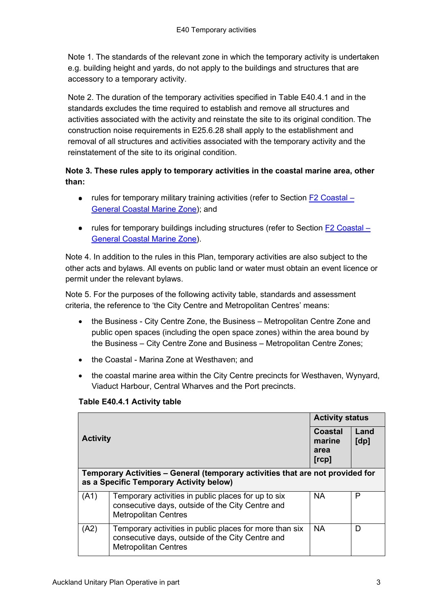Note 1. The standards of the relevant zone in which the temporary activity is undertaken e.g. building height and yards, do not apply to the buildings and structures that are accessory to a temporary activity.

Note 2. The duration of the temporary activities specified in Table E40.4.1 and in the standards excludes the time required to establish and remove all structures and activities associated with the activity and reinstate the site to its original condition. The construction noise requirements in E25.6.28 shall apply to the establishment and removal of all structures and activities associated with the temporary activity and the reinstatement of the site to its original condition.

# **Note 3. These rules apply to temporary activities in the coastal marine area, other than:**

- rules for temporary military training activities (refer to Section  $F2$  Coastal [General Coastal Marine Zone\)](http://unitaryplan.aucklandcouncil.govt.nz/Images/Auckland%20Unitary%20Plan%20Operative/Chapter%20F%20Coastal/F2%20Coastal%20-%20General%20Coastal%20Marine%20Zone.pdf); and
- rules for temporary buildings including structures (refer to Section [F2 Coastal](http://unitaryplan.aucklandcouncil.govt.nz/Images/Auckland%20Unitary%20Plan%20Operative/Chapter%20F%20Coastal/F2%20Coastal%20-%20General%20Coastal%20Marine%20Zone.pdf)  [General Coastal Marine Zone\)](http://unitaryplan.aucklandcouncil.govt.nz/Images/Auckland%20Unitary%20Plan%20Operative/Chapter%20F%20Coastal/F2%20Coastal%20-%20General%20Coastal%20Marine%20Zone.pdf).

Note 4. In addition to the rules in this Plan, temporary activities are also subject to the other acts and bylaws. All events on public land or water must obtain an event licence or permit under the relevant bylaws.

Note 5. For the purposes of the following activity table, standards and assessment criteria, the reference to 'the City Centre and Metropolitan Centres' means:

- the Business City Centre Zone, the Business Metropolitan Centre Zone and public open spaces (including the open space zones) within the area bound by the Business – City Centre Zone and Business – Metropolitan Centre Zones;
- the Coastal Marina Zone at Westhaven; and
- the coastal marine area within the City Centre precincts for Westhaven, Wynyard, Viaduct Harbour, Central Wharves and the Port precincts.

|                                                                                                                           |                                                                                                                                            | <b>Activity status</b>                    |              |  |
|---------------------------------------------------------------------------------------------------------------------------|--------------------------------------------------------------------------------------------------------------------------------------------|-------------------------------------------|--------------|--|
| <b>Activity</b>                                                                                                           |                                                                                                                                            | <b>Coastal</b><br>marine<br>area<br>[rcp] | Land<br>[dp] |  |
| Temporary Activities – General (temporary activities that are not provided for<br>as a Specific Temporary Activity below) |                                                                                                                                            |                                           |              |  |
| (A1)                                                                                                                      | Temporary activities in public places for up to six<br>consecutive days, outside of the City Centre and<br><b>Metropolitan Centres</b>     | <b>NA</b>                                 | P            |  |
| (A2)                                                                                                                      | Temporary activities in public places for more than six<br>consecutive days, outside of the City Centre and<br><b>Metropolitan Centres</b> | <b>NA</b>                                 | D            |  |

# **Table E40.4.1 Activity table**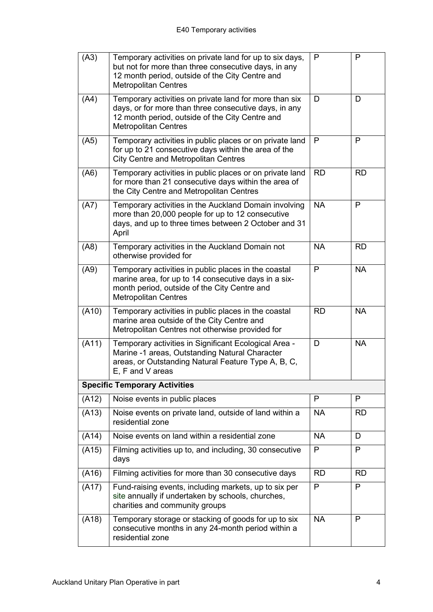| (A3)  | Temporary activities on private land for up to six days,<br>but not for more than three consecutive days, in any<br>12 month period, outside of the City Centre and<br><b>Metropolitan Centres</b> | P         | P         |
|-------|----------------------------------------------------------------------------------------------------------------------------------------------------------------------------------------------------|-----------|-----------|
| (A4)  | Temporary activities on private land for more than six<br>days, or for more than three consecutive days, in any<br>12 month period, outside of the City Centre and<br><b>Metropolitan Centres</b>  | D         | D         |
| (A5)  | Temporary activities in public places or on private land<br>for up to 21 consecutive days within the area of the<br><b>City Centre and Metropolitan Centres</b>                                    | P         | P         |
| (A6)  | Temporary activities in public places or on private land<br>for more than 21 consecutive days within the area of<br>the City Centre and Metropolitan Centres                                       | <b>RD</b> | <b>RD</b> |
| (A7)  | Temporary activities in the Auckland Domain involving<br>more than 20,000 people for up to 12 consecutive<br>days, and up to three times between 2 October and 31<br>April                         | <b>NA</b> | P         |
| (A8)  | Temporary activities in the Auckland Domain not<br>otherwise provided for                                                                                                                          | <b>NA</b> | <b>RD</b> |
| (A9)  | Temporary activities in public places in the coastal<br>marine area, for up to 14 consecutive days in a six-<br>month period, outside of the City Centre and<br><b>Metropolitan Centres</b>        | P         | <b>NA</b> |
| (A10) | <b>RD</b><br>Temporary activities in public places in the coastal<br>marine area outside of the City Centre and<br>Metropolitan Centres not otherwise provided for                                 |           | <b>NA</b> |
| (A11) | Temporary activities in Significant Ecological Area -<br>Marine -1 areas, Outstanding Natural Character<br>areas, or Outstanding Natural Feature Type A, B, C,<br>$E, F$ and V areas               | D         | <b>NA</b> |
|       | <b>Specific Temporary Activities</b>                                                                                                                                                               |           |           |
| (A12) | Noise events in public places                                                                                                                                                                      | P         | P         |
| (A13) | Noise events on private land, outside of land within a<br><b>NA</b><br>residential zone                                                                                                            |           | <b>RD</b> |
| (A14) | Noise events on land within a residential zone                                                                                                                                                     | <b>NA</b> | D         |
| (A15) | Filming activities up to, and including, 30 consecutive<br>P<br>days                                                                                                                               |           | P         |
| (A16) | Filming activities for more than 30 consecutive days                                                                                                                                               | <b>RD</b> | <b>RD</b> |
| (A17) | P<br>Fund-raising events, including markets, up to six per<br>site annually if undertaken by schools, churches,<br>charities and community groups                                                  |           | P         |
| (A18) | Temporary storage or stacking of goods for up to six<br>consecutive months in any 24-month period within a<br>residential zone                                                                     | <b>NA</b> | P         |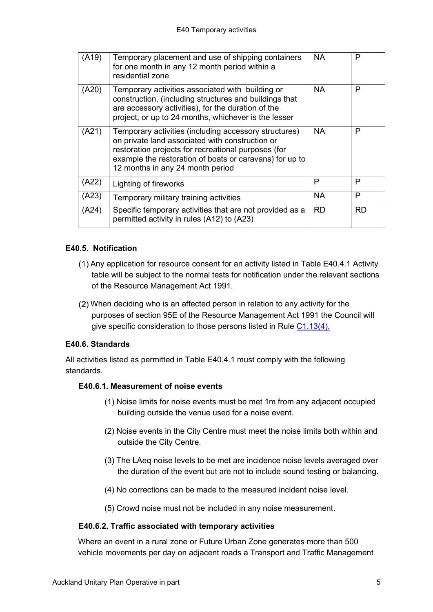| (A19) | Temporary placement and use of shipping containers<br>for one month in any 12 month period within a<br>residential zone                                                                                                                                        | <b>NA</b> | P         |
|-------|----------------------------------------------------------------------------------------------------------------------------------------------------------------------------------------------------------------------------------------------------------------|-----------|-----------|
| (A20) | Temporary activities associated with building or<br>construction, (including structures and buildings that<br>are accessory activities), for the duration of the<br>project, or up to 24 months, whichever is the lesser                                       | <b>NA</b> | P         |
| (A21) | Temporary activities (including accessory structures)<br>on private land associated with construction or<br>restoration projects for recreational purposes (for<br>example the restoration of boats or caravans) for up to<br>12 months in any 24 month period | <b>NA</b> | P         |
| (A22  | Lighting of fireworks                                                                                                                                                                                                                                          | Р         | P         |
| (A23  | Temporary military training activities                                                                                                                                                                                                                         | <b>NA</b> | P         |
| (A24) | Specific temporary activities that are not provided as a<br>permitted activity in rules (A12) to (A23)                                                                                                                                                         | <b>RD</b> | <b>RD</b> |

### **E40.5. Notification**

- (1) Any application for resource consent for an activity listed in Table E40.4.1 Activity table will be subject to the normal tests for notification under the relevant sections of the Resource Management Act 1991.
- When deciding who is an affected person in relation to any activity for the purposes of section 95E of the Resource Management Act 1991 the Council will give specific consideration to those persons listed in Rule [C1.13\(4\).](http://unitaryplan.aucklandcouncil.govt.nz/Images/Auckland%20Unitary%20Plan%20Operative/Chapter%20C%20General%20Rules/C%20General%20rules.pdf)

## **E40.6. Standards**

All activities listed as permitted in Table E40.4.1 must comply with the following standards.

### **E40.6.1. Measurement of noise events**

- (1) Noise limits for noise events must be met 1m from any adjacent occupied building outside the venue used for a noise event.
- (2) Noise events in the City Centre must meet the noise limits both within and outside the City Centre.
- (3) The LAeq noise levels to be met are incidence noise levels averaged over the duration of the event but are not to include sound testing or balancing.
- (4) No corrections can be made to the measured incident noise level.
- (5) Crowd noise must not be included in any noise measurement.

### **E40.6.2. Traffic associated with temporary activities**

Where an event in a rural zone or Future Urban Zone generates more than 500 vehicle movements per day on adjacent roads a Transport and Traffic Management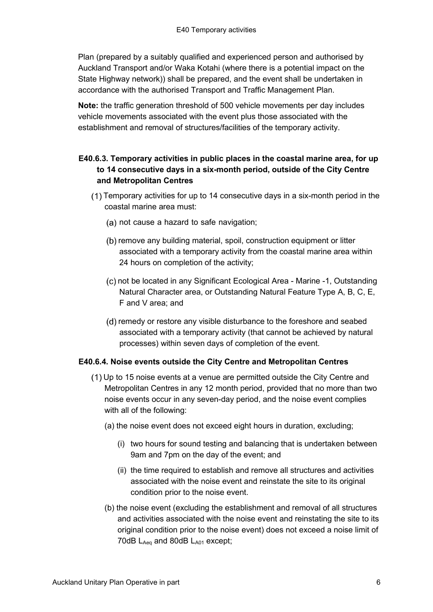Plan (prepared by a suitably qualified and experienced person and authorised by Auckland Transport and/or Waka Kotahi (where there is a potential impact on the State Highway network)) shall be prepared, and the event shall be undertaken in accordance with the authorised Transport and Traffic Management Plan.

**Note:** the traffic generation threshold of 500 vehicle movements per day includes vehicle movements associated with the event plus those associated with the establishment and removal of structures/facilities of the temporary activity.

# **E40.6.3. Temporary activities in public places in the coastal marine area, for up to 14 consecutive days in a six-month period, outside of the City Centre and Metropolitan Centres**

- Temporary activities for up to 14 consecutive days in a six-month period in the coastal marine area must:
	- (a) not cause a hazard to safe navigation;
	- (b) remove any building material, spoil, construction equipment or litter associated with a temporary activity from the coastal marine area within 24 hours on completion of the activity;
	- (c) not be located in any Significant Ecological Area Marine -1, Outstanding Natural Character area, or Outstanding Natural Feature Type A, B, C, E, F and V area; and
	- (d) remedy or restore any visible disturbance to the foreshore and seabed associated with a temporary activity (that cannot be achieved by natural processes) within seven days of completion of the event.

## **E40.6.4. Noise events outside the City Centre and Metropolitan Centres**

- Up to 15 noise events at a venue are permitted outside the City Centre and Metropolitan Centres in any 12 month period, provided that no more than two noise events occur in any seven-day period, and the noise event complies with all of the following:
	- (a) the noise event does not exceed eight hours in duration, excluding;
		- (i) two hours for sound testing and balancing that is undertaken between 9am and 7pm on the day of the event; and
		- (ii) the time required to establish and remove all structures and activities associated with the noise event and reinstate the site to its original condition prior to the noise event.
	- (b) the noise event (excluding the establishment and removal of all structures and activities associated with the noise event and reinstating the site to its original condition prior to the noise event) does not exceed a noise limit of 70dB LAeq and 80dB LA01 except;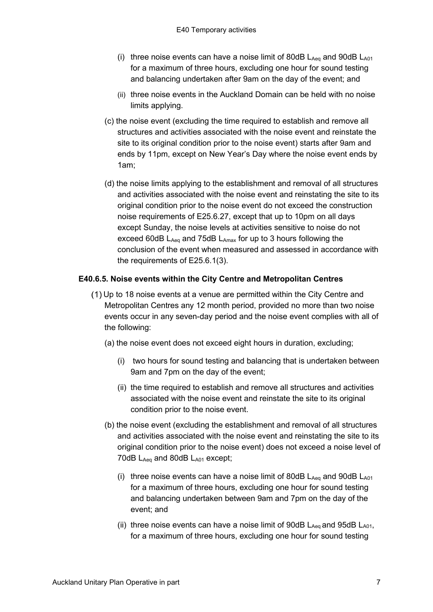- (i) three noise events can have a noise limit of 80dB  $L_{Aeq}$  and 90dB  $L_{A01}$ for a maximum of three hours, excluding one hour for sound testing and balancing undertaken after 9am on the day of the event; and
- (ii) three noise events in the Auckland Domain can be held with no noise limits applying.
- (c) the noise event (excluding the time required to establish and remove all structures and activities associated with the noise event and reinstate the site to its original condition prior to the noise event) starts after 9am and ends by 11pm, except on New Year's Day where the noise event ends by 1am;
- (d) the noise limits applying to the establishment and removal of all structures and activities associated with the noise event and reinstating the site to its original condition prior to the noise event do not exceed the construction noise requirements of E25.6.27, except that up to 10pm on all days except Sunday, the noise levels at activities sensitive to noise do not exceed 60dB LAeq and 75dB LAmax for up to 3 hours following the conclusion of the event when measured and assessed in accordance with the requirements of E25.6.1(3).

### **E40.6.5. Noise events within the City Centre and Metropolitan Centres**

- Up to 18 noise events at a venue are permitted within the City Centre and Metropolitan Centres any 12 month period, provided no more than two noise events occur in any seven-day period and the noise event complies with all of the following:
	- (a) the noise event does not exceed eight hours in duration, excluding;
		- (i) two hours for sound testing and balancing that is undertaken between 9am and 7pm on the day of the event;
		- (ii) the time required to establish and remove all structures and activities associated with the noise event and reinstate the site to its original condition prior to the noise event.
	- (b) the noise event (excluding the establishment and removal of all structures and activities associated with the noise event and reinstating the site to its original condition prior to the noise event) does not exceed a noise level of 70dB LAeq and 80dB LA01 except;
		- (i) three noise events can have a noise limit of 80dB  $L_{Aeq}$  and 90dB  $L_{A01}$ for a maximum of three hours, excluding one hour for sound testing and balancing undertaken between 9am and 7pm on the day of the event; and
		- (ii) three noise events can have a noise limit of 90dB  $L_{Aeq}$  and 95dB  $L_{A01}$ , for a maximum of three hours, excluding one hour for sound testing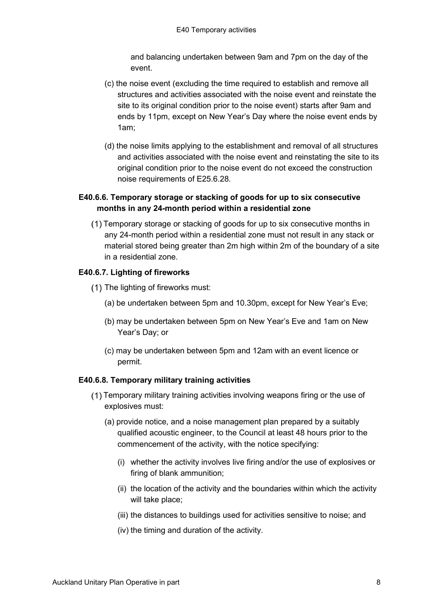and balancing undertaken between 9am and 7pm on the day of the event.

- (c) the noise event (excluding the time required to establish and remove all structures and activities associated with the noise event and reinstate the site to its original condition prior to the noise event) starts after 9am and ends by 11pm, except on New Year's Day where the noise event ends by 1am;
- (d) the noise limits applying to the establishment and removal of all structures and activities associated with the noise event and reinstating the site to its original condition prior to the noise event do not exceed the construction noise requirements of E25.6.28.

# **E40.6.6. Temporary storage or stacking of goods for up to six consecutive months in any 24-month period within a residential zone**

Temporary storage or stacking of goods for up to six consecutive months in any 24-month period within a residential zone must not result in any stack or material stored being greater than 2m high within 2m of the boundary of a site in a residential zone.

## **E40.6.7. Lighting of fireworks**

- (1) The lighting of fireworks must:
	- (a) be undertaken between 5pm and 10.30pm, except for New Year's Eve;
	- (b) may be undertaken between 5pm on New Year's Eve and 1am on New Year's Day; or
	- (c) may be undertaken between 5pm and 12am with an event licence or permit.

### **E40.6.8. Temporary military training activities**

- Temporary military training activities involving weapons firing or the use of explosives must:
	- (a) provide notice, and a noise management plan prepared by a suitably qualified acoustic engineer, to the Council at least 48 hours prior to the commencement of the activity, with the notice specifying:
		- (i) whether the activity involves live firing and/or the use of explosives or firing of blank ammunition;
		- (ii) the location of the activity and the boundaries within which the activity will take place;
		- (iii) the distances to buildings used for activities sensitive to noise; and
		- (iv) the timing and duration of the activity.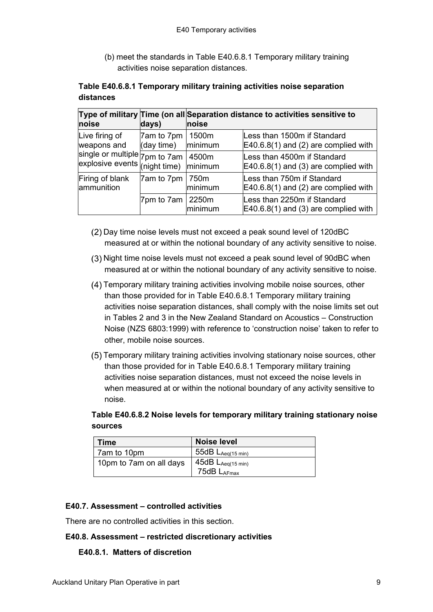(b) meet the standards in Table E40.6.8.1 Temporary military training activities noise separation distances.

|           | Table E40.6.8.1 Temporary military training activities noise separation |  |  |
|-----------|-------------------------------------------------------------------------|--|--|
| distances |                                                                         |  |  |

| noise                                                                  | days)                    | Type of military Time (on all Separation distance to activities sensitive to<br>noise |                                                                       |
|------------------------------------------------------------------------|--------------------------|---------------------------------------------------------------------------------------|-----------------------------------------------------------------------|
| Live firing of<br>weapons and                                          | 7am to 7pm<br>(day time) | 1500m<br>minimum                                                                      | Less than 1500m if Standard<br>E40.6.8(1) and (2) are complied with   |
| single or multiple 7pm to 7am<br>explosive events (night time) minimum |                          | 4500m                                                                                 | Less than 4500m if Standard<br>$E40.6.8(1)$ and (3) are complied with |
| Firing of blank<br>ammunition                                          | 7am to 7pm               | 750m<br>minimum                                                                       | Less than 750m if Standard<br>$E40.6.8(1)$ and (2) are complied with  |
|                                                                        | 7pm to 7am               | 2250m<br><b>Iminimum</b>                                                              | Less than 2250m if Standard<br>$E40.6.8(1)$ and (3) are complied with |

- Day time noise levels must not exceed a peak sound level of 120dBC measured at or within the notional boundary of any activity sensitive to noise.
- (3) Night time noise levels must not exceed a peak sound level of 90dBC when measured at or within the notional boundary of any activity sensitive to noise.
- Temporary military training activities involving mobile noise sources, other than those provided for in Table E40.6.8.1 Temporary military training activities noise separation distances, shall comply with the noise limits set out in Tables 2 and 3 in the New Zealand Standard on Acoustics – Construction Noise (NZS 6803:1999) with reference to 'construction noise' taken to refer to other, mobile noise sources.
- Temporary military training activities involving stationary noise sources, other than those provided for in Table E40.6.8.1 Temporary military training activities noise separation distances, must not exceed the noise levels in when measured at or within the [notional boundary](http://unitaryplan.aucklandcouncil.govt.nz/pages/plan/Book.aspx) of any activity sensitive to noise.

**Table E40.6.8.2 Noise levels for temporary military training stationary noise sources**

| Time                    | <b>Noise level</b>                    |
|-------------------------|---------------------------------------|
| 7am to 10pm             | $-55$ d $B$ $L_{Aeq(15 \text{ min})}$ |
| 10pm to 7am on all days | $45dB$ $L_{Aeq(15 min)}$              |
|                         | 75dB LAFmax                           |

### **E40.7. Assessment – controlled activities**

There are no controlled activities in this section.

### **E40.8. Assessment – restricted discretionary activities**

### **E40.8.1. Matters of discretion**